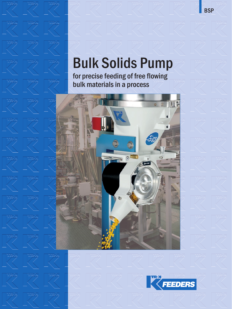# **Bulk Solids Pump**

**for precise feeding of free flowing bulk materials in a process**



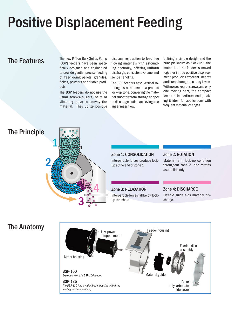# **Positive Displacement Feeding**

**The Features** The new K-Tron Bulk Solids Pump (BSP) feeders have been specifically designed and engineered to provide gentle, precise feeding of free-flowing pellets, granules, flakes, powders and friable products.

> The BSP feeders do not use the usual screws/augers, belts or vibratory trays to convey the material. They utilize positive

displacement action to feed free flowing materials with astounding accuracy, offering uniform discharge, consistent volume and gentle handling.

The BSP feeders have vertical rotating discs that create a product lock-up zone, conveying the material smoothly from storage hopper to discharge outlet, achieving true linear mass flow.

Utilizing a simple design and the principle known as "lock up", the material in the feeder is moved together in true positive displacement, producing excellent linearity and breakthrough accuracy levels. With no pockets or screws and only one moving part, the compact feeder is cleaned in seconds, making it ideal for applications with frequent material changes.

## **The Principle**



**Zone 1: CONSOLIDATION** Interparticle forces produce lockup at the end of Zone 1

### **Zone 2: ROTATION**

Material is in lock-up condition throughout Zone 2 and rotates as a solid body

**Zone 3: RELAXATION** Interparticle forces fall below lockup threshold

### **Zone 4: DISCHARGE**

Flexible guide aids material discharge.

## **The Anatomy**

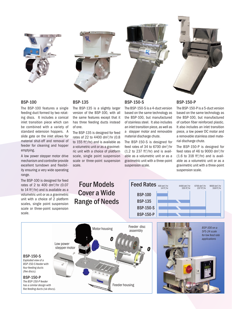

### **BSP-100**

The BSP-100 features a single feeding duct formed by two rotating discs. It includes a conical inlet transition piece which can be combined with a variety of standard extension hoppers. A slide gate on the inlet allows for material shut-off and removal of feeder for cleaning and hopper emptying.

A low power stepper motor drive mechanism and controller provide excellent turndown and flexibility ensuring a very wide operating range.

The BSP-100 is designed for feed rates of 2 to 400 dm<sup>3</sup>/hr (0.07 to 14 ft<sup>3</sup>/hr) and is available as a volumetric unit or as a gravimetric unit with a choice of 2 platform scales, single point suspension scale or three-point suspension scale.

### **BSP-135**

The BSP-135 is a slightly larger version of the BSP-100, with all the same features except that it has three feeding ducts instead of one.

The BSP-135 is designed for feed rates of 22 to 4400 dm<sup>3</sup>/hr (0.8 to 155 ft<sup>3</sup>/hr) and is available as a volumetric unit or as a gravimetric unit with a choice of platform scale, single point suspension scale or three-point suspension scale.

**Four Models Cover a Wide Range of Needs**



### **BSP-150-S**

The BSP-150-S is a 4-duct version based on the same technology as the BSP-100, but manufactured of stainless steel. It also includes an inlet transition piece, as well as a stepper motor and removable material discharge chute.

The BSP-150-S is designed for feed rates of 34 to 6700 dm<sup>3</sup>/hr  $(1.2$  to 237 ft<sup>3</sup>/hr) and is available as a volumetric unit or as a gravimetric unit with a three-point suspension scale.



### **BSP-150-P**

The BSP-150-P is a 5-duct version based on the same technology as the BSP-100, but manufactured of carbon fiber reinforced plastic. It also includes an inlet transition piece, a low power DC motor and a removable stainless steel material discharge chute.

The BSP-150-P is designed for feed rates of 46 to 9000 dm3 /hr  $(1.6 \text{ to } 318 \text{ ft}^3/\text{hr})$  and is available as a volumetric unit or as a gravimetric unit with a three-point suspension scale.

### **BSP-100 BSP-135 BSP-150-S BSP-150-P Feed Rates** 400 dm<sup>3</sup>/hr 4400 dm<sup>3</sup> 4400 dm<sup>3</sup>/hr  $155 ft<sup>3</sup>/h<sub>I</sub>$ 9000 dm<sup>3</sup>/hr<br>318 ft<sup>3</sup>/hr 6700 dm3 /hr  $237 ft<sup>3</sup>/h<sub>1</sub>$